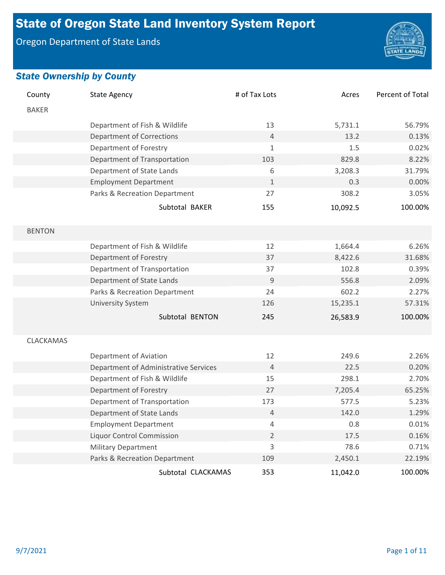# State of Oregon State Land Inventory System Report

Oregon Department of State Lands



| County        | <b>State Agency</b>                   | # of Tax Lots  | Acres    | Percent of Total |
|---------------|---------------------------------------|----------------|----------|------------------|
| <b>BAKER</b>  |                                       |                |          |                  |
|               | Department of Fish & Wildlife         | 13             | 5,731.1  | 56.79%           |
|               | <b>Department of Corrections</b>      | $\overline{4}$ | 13.2     | 0.13%            |
|               | Department of Forestry                | $\mathbf{1}$   | 1.5      | 0.02%            |
|               | Department of Transportation          | 103            | 829.8    | 8.22%            |
|               | Department of State Lands             | 6              | 3,208.3  | 31.79%           |
|               | <b>Employment Department</b>          | $\mathbf{1}$   | 0.3      | 0.00%            |
|               | Parks & Recreation Department         | 27             | 308.2    | 3.05%            |
|               | Subtotal BAKER                        | 155            | 10,092.5 | 100.00%          |
| <b>BENTON</b> |                                       |                |          |                  |
|               | Department of Fish & Wildlife         | 12             | 1,664.4  | 6.26%            |
|               | Department of Forestry                | 37             | 8,422.6  | 31.68%           |
|               | Department of Transportation          | 37             | 102.8    | 0.39%            |
|               | Department of State Lands             | $9\,$          | 556.8    | 2.09%            |
|               | Parks & Recreation Department         | 24             | 602.2    | 2.27%            |
|               | <b>University System</b>              | 126            | 15,235.1 | 57.31%           |
|               | Subtotal BENTON                       | 245            | 26,583.9 | 100.00%          |
| CLACKAMAS     |                                       |                |          |                  |
|               | Department of Aviation                | 12             | 249.6    | 2.26%            |
|               | Department of Administrative Services | $\overline{4}$ | 22.5     | 0.20%            |
|               | Department of Fish & Wildlife         | 15             | 298.1    | 2.70%            |
|               | Department of Forestry                | 27             | 7,205.4  | 65.25%           |
|               | Department of Transportation          | 173            | 577.5    | 5.23%            |
|               | Department of State Lands             | 4              | 142.0    | 1.29%            |
|               | <b>Employment Department</b>          | $\overline{4}$ | 0.8      | 0.01%            |
|               | <b>Liquor Control Commission</b>      | $\overline{2}$ | 17.5     | 0.16%            |
|               | <b>Military Department</b>            | 3              | 78.6     | 0.71%            |
|               | Parks & Recreation Department         | 109            | 2,450.1  | 22.19%           |
|               | Subtotal CLACKAMAS                    | 353            | 11,042.0 | 100.00%          |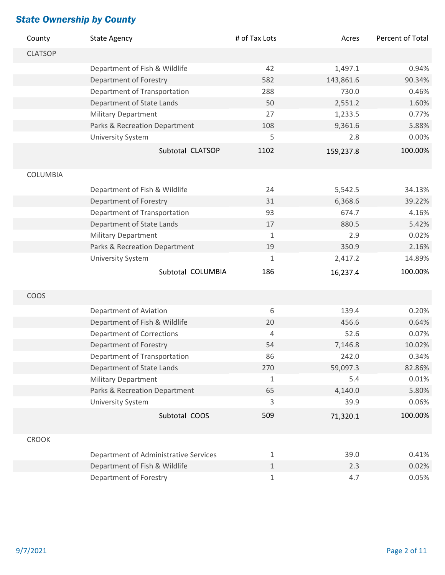| County         | <b>State Agency</b>                   | # of Tax Lots  | Acres     | Percent of Total |
|----------------|---------------------------------------|----------------|-----------|------------------|
| <b>CLATSOP</b> |                                       |                |           |                  |
|                | Department of Fish & Wildlife         | 42             | 1,497.1   | 0.94%            |
|                | Department of Forestry                | 582            | 143,861.6 | 90.34%           |
|                | Department of Transportation          | 288            | 730.0     | 0.46%            |
|                | Department of State Lands             | 50             | 2,551.2   | 1.60%            |
|                | <b>Military Department</b>            | 27             | 1,233.5   | 0.77%            |
|                | Parks & Recreation Department         | 108            | 9,361.6   | 5.88%            |
|                | <b>University System</b>              | 5              | 2.8       | 0.00%            |
|                | Subtotal CLATSOP                      | 1102           | 159,237.8 | 100.00%          |
| COLUMBIA       |                                       |                |           |                  |
|                | Department of Fish & Wildlife         | 24             | 5,542.5   | 34.13%           |
|                | Department of Forestry                | 31             | 6,368.6   | 39.22%           |
|                | Department of Transportation          | 93             | 674.7     | 4.16%            |
|                | Department of State Lands             | 17             | 880.5     | 5.42%            |
|                | <b>Military Department</b>            | $\mathbf{1}$   | 2.9       | 0.02%            |
|                | Parks & Recreation Department         | 19             | 350.9     | 2.16%            |
|                | <b>University System</b>              | $\mathbf{1}$   | 2,417.2   | 14.89%           |
|                | Subtotal COLUMBIA                     | 186            | 16,237.4  | 100.00%          |
| COOS           |                                       |                |           |                  |
|                |                                       |                |           |                  |
|                | Department of Aviation                | 6              | 139.4     | 0.20%            |
|                | Department of Fish & Wildlife         | 20             | 456.6     | 0.64%            |
|                | <b>Department of Corrections</b>      | $\overline{4}$ | 52.6      | 0.07%            |
|                | Department of Forestry                | 54             | 7,146.8   | 10.02%           |
|                | Department of Transportation          | 86             | 242.0     | 0.34%            |
|                | Department of State Lands             | 270            | 59,097.3  | 82.86%           |
|                | Military Department                   | $\mathbf{1}$   | 5.4       | 0.01%            |
|                | Parks & Recreation Department         | 65             | 4,140.0   | 5.80%            |
|                | <b>University System</b>              | 3              | 39.9      | 0.06%            |
|                | Subtotal COOS                         | 509            | 71,320.1  | 100.00%          |
| <b>CROOK</b>   |                                       |                |           |                  |
|                | Department of Administrative Services | $\mathbf 1$    | 39.0      | 0.41%            |
|                | Department of Fish & Wildlife         | $1\,$          | 2.3       | 0.02%            |
|                | Department of Forestry                | $\mathbf 1$    | 4.7       | 0.05%            |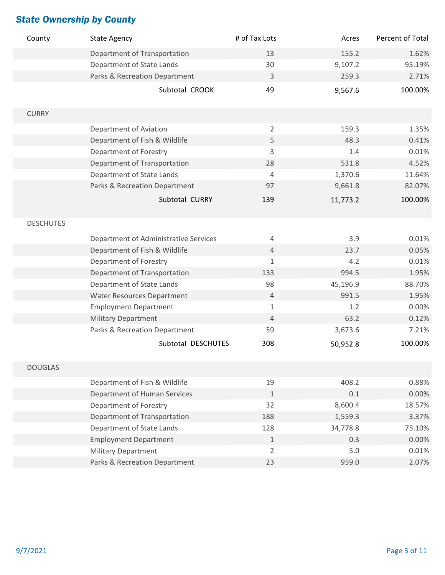| County           | <b>State Agency</b>                   | # of Tax Lots  | Acres    | Percent of Total |
|------------------|---------------------------------------|----------------|----------|------------------|
|                  | Department of Transportation          | 13             | 155.2    | 1.62%            |
|                  | Department of State Lands             | 30             | 9,107.2  | 95.19%           |
|                  | Parks & Recreation Department         | 3              | 259.3    | 2.71%            |
|                  | Subtotal CROOK                        | 49             | 9,567.6  | 100.00%          |
| <b>CURRY</b>     |                                       |                |          |                  |
|                  | Department of Aviation                | $\overline{2}$ | 159.3    | 1.35%            |
|                  | Department of Fish & Wildlife         | 5              | 48.3     | 0.41%            |
|                  | Department of Forestry                | 3              | 1.4      | 0.01%            |
|                  | Department of Transportation          | 28             | 531.8    | 4.52%            |
|                  | Department of State Lands             | $\overline{4}$ | 1,370.6  | 11.64%           |
|                  | Parks & Recreation Department         | 97             | 9,661.8  | 82.07%           |
|                  | Subtotal CURRY                        | 139            | 11,773.2 | 100.00%          |
| <b>DESCHUTES</b> |                                       |                |          |                  |
|                  | Department of Administrative Services | $\overline{4}$ | 3.9      | 0.01%            |
|                  | Department of Fish & Wildlife         | $\sqrt{4}$     | 23.7     | 0.05%            |
|                  | Department of Forestry                | $\mathbf{1}$   | 4.2      | 0.01%            |
|                  | Department of Transportation          | 133            | 994.5    | 1.95%            |
|                  | Department of State Lands             | 98             | 45,196.9 | 88.70%           |
|                  | <b>Water Resources Department</b>     | $\sqrt{4}$     | 991.5    | 1.95%            |
|                  | <b>Employment Department</b>          | $\mathbf{1}$   | 1.2      | 0.00%            |
|                  | <b>Military Department</b>            | $\overline{4}$ | 63.2     | 0.12%            |
|                  | Parks & Recreation Department         | 59             | 3,673.6  | 7.21%            |
|                  | Subtotal DESCHUTES                    | 308            | 50,952.8 | 100.00%          |
| <b>DOUGLAS</b>   |                                       |                |          |                  |
|                  | Department of Fish & Wildlife         | 19             | 408.2    | 0.88%            |
|                  | <b>Department of Human Services</b>   | $\mathbf{1}$   | $0.1\,$  | 0.00%            |
|                  | Department of Forestry                | 32             | 8,600.4  | 18.57%           |
|                  | Department of Transportation          | 188            | 1,559.3  | 3.37%            |
|                  | Department of State Lands             | 128            | 34,778.8 | 75.10%           |
|                  | <b>Employment Department</b>          | $\mathbf 1$    | 0.3      | 0.00%            |
|                  | <b>Military Department</b>            | $\overline{2}$ | 5.0      | 0.01%            |
|                  | Parks & Recreation Department         | 23             | 959.0    | 2.07%            |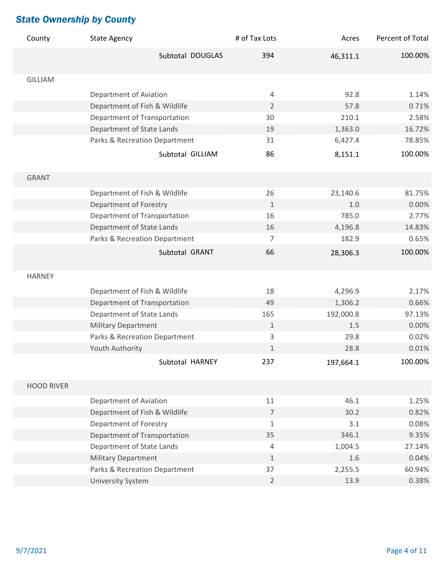| County            | <b>State Agency</b>           | # of Tax Lots  | Acres     | Percent of Total |
|-------------------|-------------------------------|----------------|-----------|------------------|
|                   | Subtotal DOUGLAS              | 394            | 46,311.1  | 100.00%          |
|                   |                               |                |           |                  |
| <b>GILLIAM</b>    |                               |                |           |                  |
|                   | Department of Aviation        | $\overline{4}$ | 92.8      | 1.14%            |
|                   | Department of Fish & Wildlife | $\overline{2}$ | 57.8      | 0.71%            |
|                   | Department of Transportation  | 30             | 210.1     | 2.58%            |
|                   | Department of State Lands     | 19             | 1,363.0   | 16.72%           |
|                   | Parks & Recreation Department | 31             | 6,427.4   | 78.85%           |
|                   | Subtotal GILLIAM              | 86             | 8,151.1   | 100.00%          |
|                   |                               |                |           |                  |
| <b>GRANT</b>      |                               |                |           |                  |
|                   | Department of Fish & Wildlife | 26             | 23,140.6  | 81.75%           |
|                   | Department of Forestry        | $\mathbf{1}$   | 1.0       | 0.00%            |
|                   | Department of Transportation  | 16             | 785.0     | 2.77%            |
|                   | Department of State Lands     | 16             | 4,196.8   | 14.83%           |
|                   | Parks & Recreation Department | $\overline{7}$ | 182.9     | 0.65%            |
|                   | Subtotal GRANT                | 66             | 28,306.3  | 100.00%          |
|                   |                               |                |           |                  |
| <b>HARNEY</b>     |                               |                |           |                  |
|                   | Department of Fish & Wildlife | 18             | 4,296.9   | 2.17%            |
|                   | Department of Transportation  | 49             | 1,306.2   | 0.66%            |
|                   | Department of State Lands     | 165            | 192,000.8 | 97.13%           |
|                   | <b>Military Department</b>    | $1\,$          | 1.5       | 0.00%            |
|                   | Parks & Recreation Department | 3              | 29.8      | 0.02%            |
|                   | Youth Authority               | $\mathbf{1}$   | 28.8      | 0.01%            |
|                   | Subtotal HARNEY               | 237            | 197,664.1 | 100.00%          |
|                   |                               |                |           |                  |
| <b>HOOD RIVER</b> |                               |                |           |                  |
|                   | Department of Aviation        | 11             | 46.1      | 1.25%            |
|                   | Department of Fish & Wildlife | $\overline{7}$ | 30.2      | 0.82%            |
|                   | Department of Forestry        | $\mathbf{1}$   | 3.1       | 0.08%            |
|                   | Department of Transportation  | 35             | 346.1     | 9.35%            |
|                   | Department of State Lands     | 4              | 1,004.5   | 27.14%           |
|                   | <b>Military Department</b>    | $\mathbf{1}$   | 1.6       | 0.04%            |
|                   | Parks & Recreation Department | 37             | 2,255.5   | 60.94%           |
|                   | <b>University System</b>      | $\overline{2}$ | 13.9      | 0.38%            |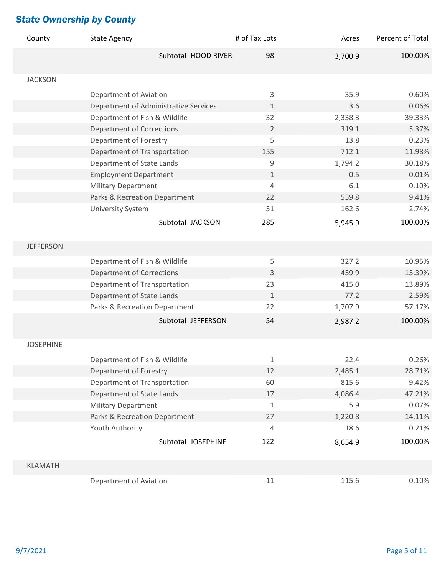| County           | <b>State Agency</b>                   | # of Tax Lots  | Acres   | Percent of Total |
|------------------|---------------------------------------|----------------|---------|------------------|
|                  | Subtotal HOOD RIVER                   | 98             | 3,700.9 | 100.00%          |
|                  |                                       |                |         |                  |
| <b>JACKSON</b>   |                                       |                |         |                  |
|                  | Department of Aviation                | 3              | 35.9    | 0.60%            |
|                  | Department of Administrative Services | 1              | 3.6     | 0.06%            |
|                  | Department of Fish & Wildlife         | 32             | 2,338.3 | 39.33%           |
|                  | <b>Department of Corrections</b>      | $\overline{2}$ | 319.1   | 5.37%            |
|                  | Department of Forestry                | 5              | 13.8    | 0.23%            |
|                  | Department of Transportation          | 155            | 712.1   | 11.98%           |
|                  | Department of State Lands             | 9              | 1,794.2 | 30.18%           |
|                  | <b>Employment Department</b>          | $\mathbf{1}$   | 0.5     | 0.01%            |
|                  | <b>Military Department</b>            | 4              | 6.1     | 0.10%            |
|                  | Parks & Recreation Department         | 22             | 559.8   | 9.41%            |
|                  | <b>University System</b>              | 51             | 162.6   | 2.74%            |
|                  | Subtotal JACKSON                      | 285            | 5,945.9 | 100.00%          |
| <b>JEFFERSON</b> |                                       |                |         |                  |
|                  |                                       |                | 327.2   | 10.95%           |
|                  | Department of Fish & Wildlife         | 5<br>3         | 459.9   | 15.39%           |
|                  | <b>Department of Corrections</b>      | 23             | 415.0   | 13.89%           |
|                  | Department of Transportation          |                |         |                  |
|                  | Department of State Lands             | $\mathbf{1}$   | 77.2    | 2.59%            |
|                  | Parks & Recreation Department         | 22             | 1,707.9 | 57.17%           |
|                  | Subtotal JEFFERSON                    | 54             | 2,987.2 | 100.00%          |
| <b>JOSEPHINE</b> |                                       |                |         |                  |
|                  | Department of Fish & Wildlife         | 1              | 22.4    | 0.26%            |
|                  | Department of Forestry                | 12             | 2,485.1 | 28.71%           |
|                  | Department of Transportation          | 60             | 815.6   | 9.42%            |
|                  | Department of State Lands             | 17             | 4,086.4 | 47.21%           |
|                  | <b>Military Department</b>            | 1              | 5.9     | 0.07%            |
|                  | Parks & Recreation Department         | 27             | 1,220.8 | 14.11%           |
|                  | Youth Authority                       | 4              | 18.6    | 0.21%            |
|                  | Subtotal JOSEPHINE                    | 122            | 8,654.9 | 100.00%          |
|                  |                                       |                |         |                  |
| <b>KLAMATH</b>   |                                       |                |         |                  |
|                  | Department of Aviation                | 11             | 115.6   | 0.10%            |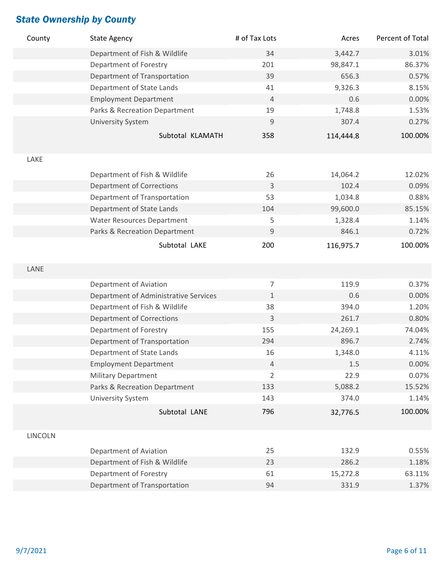| County         | <b>State Agency</b>                   | # of Tax Lots  | Acres     | Percent of Total |
|----------------|---------------------------------------|----------------|-----------|------------------|
|                | Department of Fish & Wildlife         | 34             | 3,442.7   | 3.01%            |
|                | Department of Forestry                | 201            | 98,847.1  | 86.37%           |
|                | Department of Transportation          | 39             | 656.3     | 0.57%            |
|                | Department of State Lands             | 41             | 9,326.3   | 8.15%            |
|                | <b>Employment Department</b>          | $\overline{4}$ | 0.6       | 0.00%            |
|                | Parks & Recreation Department         | 19             | 1,748.8   | 1.53%            |
|                | <b>University System</b>              | $\mathsf 9$    | 307.4     | 0.27%            |
|                | Subtotal KLAMATH                      | 358            | 114,444.8 | 100.00%          |
| LAKE           |                                       |                |           |                  |
|                | Department of Fish & Wildlife         | 26             | 14,064.2  | 12.02%           |
|                | <b>Department of Corrections</b>      | $\mathsf{3}$   | 102.4     | 0.09%            |
|                | Department of Transportation          | 53             | 1,034.8   | 0.88%            |
|                | Department of State Lands             | 104            | 99,600.0  | 85.15%           |
|                | <b>Water Resources Department</b>     | 5              | 1,328.4   | 1.14%            |
|                | Parks & Recreation Department         | $9$            | 846.1     | 0.72%            |
|                | Subtotal LAKE                         | 200            | 116,975.7 | 100.00%          |
| LANE           |                                       |                |           |                  |
|                | Department of Aviation                | $\overline{7}$ | 119.9     | 0.37%            |
|                | Department of Administrative Services | $\mathbf{1}$   | 0.6       | 0.00%            |
|                | Department of Fish & Wildlife         | 38             | 394.0     | 1.20%            |
|                | <b>Department of Corrections</b>      | 3              | 261.7     | 0.80%            |
|                | Department of Forestry                | 155            | 24,269.1  | 74.04%           |
|                | Department of Transportation          | 294            | 896.7     | 2.74%            |
|                | Department of State Lands             | 16             | 1,348.0   | 4.11%            |
|                | <b>Employment Department</b>          | $\overline{4}$ | $1.5\,$   | 0.00%            |
|                | <b>Military Department</b>            | $\overline{2}$ | 22.9      | 0.07%            |
|                | Parks & Recreation Department         | 133            | 5,088.2   | 15.52%           |
|                | <b>University System</b>              | 143            | 374.0     | 1.14%            |
|                | Subtotal LANE                         | 796            | 32,776.5  | 100.00%          |
| <b>LINCOLN</b> |                                       |                |           |                  |
|                | Department of Aviation                | 25             | 132.9     | 0.55%            |
|                | Department of Fish & Wildlife         | 23             | 286.2     | 1.18%            |
|                | Department of Forestry                | 61             | 15,272.8  | 63.11%           |
|                | Department of Transportation          | 94             | 331.9     | 1.37%            |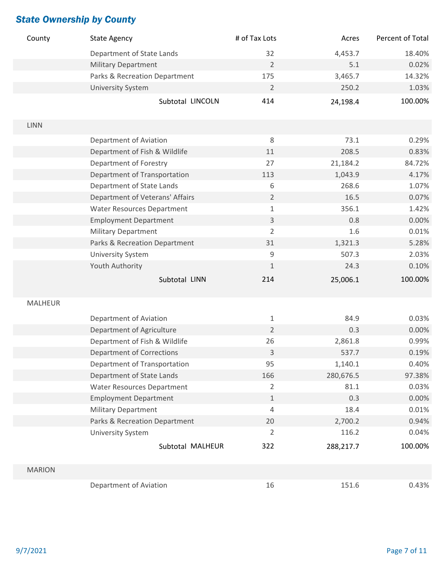| County         | <b>State Agency</b>               | # of Tax Lots  | Acres     | Percent of Total |
|----------------|-----------------------------------|----------------|-----------|------------------|
|                | Department of State Lands         | 32             | 4,453.7   | 18.40%           |
|                | <b>Military Department</b>        | $\overline{2}$ | 5.1       | 0.02%            |
|                | Parks & Recreation Department     | 175            | 3,465.7   | 14.32%           |
|                | <b>University System</b>          | $\overline{2}$ | 250.2     | 1.03%            |
|                | Subtotal LINCOLN                  | 414            | 24,198.4  | 100.00%          |
|                |                                   |                |           |                  |
| <b>LINN</b>    |                                   |                |           |                  |
|                | Department of Aviation            | $\,8\,$        | 73.1      | 0.29%            |
|                | Department of Fish & Wildlife     | 11             | 208.5     | 0.83%            |
|                | Department of Forestry            | 27             | 21,184.2  | 84.72%           |
|                | Department of Transportation      | 113            | 1,043.9   | 4.17%            |
|                | Department of State Lands         | $\,6\,$        | 268.6     | 1.07%            |
|                | Department of Veterans' Affairs   | $\overline{2}$ | 16.5      | 0.07%            |
|                | <b>Water Resources Department</b> | $1\,$          | 356.1     | 1.42%            |
|                | <b>Employment Department</b>      | $\mathsf{3}$   | 0.8       | 0.00%            |
|                | Military Department               | $\overline{2}$ | 1.6       | 0.01%            |
|                | Parks & Recreation Department     | 31             | 1,321.3   | 5.28%            |
|                | <b>University System</b>          | 9              | 507.3     | 2.03%            |
|                | Youth Authority                   | $\mathbf{1}$   | 24.3      | 0.10%            |
|                | Subtotal LINN                     | 214            | 25,006.1  | 100.00%          |
|                |                                   |                |           |                  |
| <b>MALHEUR</b> |                                   |                |           |                  |
|                | Department of Aviation            | $\mathbf{1}$   | 84.9      | 0.03%            |
|                | Department of Agriculture         | $\overline{2}$ | 0.3       | 0.00%            |
|                | Department of Fish & Wildlife     | 26             | 2,861.8   | 0.99%            |
|                | <b>Department of Corrections</b>  | 3              | 537.7     | 0.19%            |
|                | Department of Transportation      | 95             | 1,140.1   | 0.40%            |
|                | Department of State Lands         | 166            | 280,676.5 | 97.38%           |
|                | <b>Water Resources Department</b> | $\overline{2}$ | 81.1      | 0.03%            |
|                | <b>Employment Department</b>      | $1\,$          | 0.3       | 0.00%            |
|                | <b>Military Department</b>        | $\sqrt{4}$     | 18.4      | 0.01%            |
|                | Parks & Recreation Department     | 20             | 2,700.2   | 0.94%            |
|                | <b>University System</b>          | 2              | 116.2     | 0.04%            |
|                | Subtotal MALHEUR                  | 322            | 288,217.7 | 100.00%          |
|                |                                   |                |           |                  |
| <b>MARION</b>  |                                   |                |           |                  |
|                | Department of Aviation            | 16             | 151.6     | 0.43%            |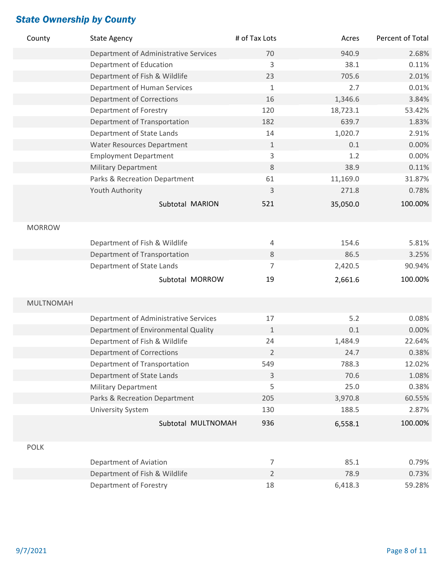| County           | <b>State Agency</b>                   | # of Tax Lots  | Acres    | Percent of Total |
|------------------|---------------------------------------|----------------|----------|------------------|
|                  | Department of Administrative Services | 70             | 940.9    | 2.68%            |
|                  | Department of Education               | 3              | 38.1     | 0.11%            |
|                  | Department of Fish & Wildlife         | 23             | 705.6    | 2.01%            |
|                  | Department of Human Services          | 1              | 2.7      | 0.01%            |
|                  | <b>Department of Corrections</b>      | 16             | 1,346.6  | 3.84%            |
|                  | Department of Forestry                | 120            | 18,723.1 | 53.42%           |
|                  | Department of Transportation          | 182            | 639.7    | 1.83%            |
|                  | Department of State Lands             | 14             | 1,020.7  | 2.91%            |
|                  | <b>Water Resources Department</b>     | $1\,$          | 0.1      | 0.00%            |
|                  | <b>Employment Department</b>          | 3              | 1.2      | 0.00%            |
|                  | <b>Military Department</b>            | $8\,$          | 38.9     | 0.11%            |
|                  | Parks & Recreation Department         | 61             | 11,169.0 | 31.87%           |
|                  | Youth Authority                       | 3              | 271.8    | 0.78%            |
|                  | Subtotal MARION                       | 521            | 35,050.0 | 100.00%          |
| <b>MORROW</b>    |                                       |                |          |                  |
|                  | Department of Fish & Wildlife         | $\overline{4}$ | 154.6    | 5.81%            |
|                  | Department of Transportation          | $8\,$          | 86.5     | 3.25%            |
|                  | Department of State Lands             | 7              | 2,420.5  | 90.94%           |
|                  |                                       |                |          |                  |
|                  | Subtotal MORROW                       | 19             | 2,661.6  | 100.00%          |
| <b>MULTNOMAH</b> |                                       |                |          |                  |
|                  |                                       |                |          |                  |
|                  | Department of Administrative Services | 17             | 5.2      | 0.08%            |
|                  | Department of Environmental Quality   | $\mathbf{1}$   | 0.1      | 0.00%            |
|                  | Department of Fish & Wildlife         | 24             | 1,484.9  | 22.64%           |
|                  | <b>Department of Corrections</b>      | $\overline{2}$ | 24.7     | 0.38%            |
|                  | Department of Transportation          | 549            | 788.3    | 12.02%           |
|                  | Department of State Lands             | $\mathsf{3}$   | 70.6     | 1.08%            |
|                  | <b>Military Department</b>            | 5              | 25.0     | 0.38%            |
|                  | Parks & Recreation Department         | 205            | 3,970.8  | 60.55%           |
|                  | <b>University System</b>              | 130            | 188.5    | 2.87%            |
|                  | Subtotal MULTNOMAH                    | 936            | 6,558.1  | 100.00%          |
| <b>POLK</b>      |                                       |                |          |                  |
|                  | Department of Aviation                | $\overline{7}$ | 85.1     | 0.79%            |
|                  | Department of Fish & Wildlife         | $\overline{2}$ | 78.9     | 0.73%            |
|                  | Department of Forestry                | 18             | 6,418.3  | 59.28%           |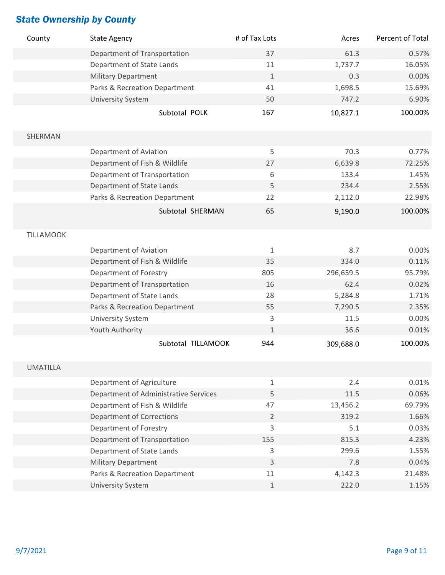| County           | <b>State Agency</b>                   | # of Tax Lots  | Acres     | Percent of Total |
|------------------|---------------------------------------|----------------|-----------|------------------|
|                  | Department of Transportation          | 37             | 61.3      | 0.57%            |
|                  | Department of State Lands             | 11             | 1,737.7   | 16.05%           |
|                  | <b>Military Department</b>            | $\mathbf{1}$   | 0.3       | 0.00%            |
|                  | Parks & Recreation Department         | 41             | 1,698.5   | 15.69%           |
|                  | University System                     | 50             | 747.2     | 6.90%            |
|                  | Subtotal POLK                         | 167            | 10,827.1  | 100.00%          |
| SHERMAN          |                                       |                |           |                  |
|                  | Department of Aviation                | 5              | 70.3      | 0.77%            |
|                  | Department of Fish & Wildlife         | 27             | 6,639.8   | 72.25%           |
|                  | Department of Transportation          | 6              | 133.4     | 1.45%            |
|                  | Department of State Lands             | 5              | 234.4     | 2.55%            |
|                  | Parks & Recreation Department         | 22             | 2,112.0   | 22.98%           |
|                  | Subtotal SHERMAN                      | 65             | 9,190.0   | 100.00%          |
| <b>TILLAMOOK</b> |                                       |                |           |                  |
|                  | Department of Aviation                | $\mathbf{1}$   | 8.7       | 0.00%            |
|                  | Department of Fish & Wildlife         | 35             | 334.0     | 0.11%            |
|                  | Department of Forestry                | 805            | 296,659.5 | 95.79%           |
|                  | Department of Transportation          | 16             | 62.4      | 0.02%            |
|                  | Department of State Lands             | 28             | 5,284.8   | 1.71%            |
|                  | Parks & Recreation Department         | 55             | 7,290.5   | 2.35%            |
|                  | University System                     | 3              | 11.5      | 0.00%            |
|                  | Youth Authority                       | $\mathbf{1}$   | 36.6      | 0.01%            |
|                  | Subtotal TILLAMOOK                    | 944            | 309,688.0 | 100.00%          |
| <b>UMATILLA</b>  |                                       |                |           |                  |
|                  | Department of Agriculture             | $\mathbf{1}$   | 2.4       | 0.01%            |
|                  | Department of Administrative Services | 5              | 11.5      | 0.06%            |
|                  | Department of Fish & Wildlife         | 47             | 13,456.2  | 69.79%           |
|                  | <b>Department of Corrections</b>      | $\overline{2}$ | 319.2     | 1.66%            |
|                  | Department of Forestry                | 3              | 5.1       | 0.03%            |
|                  | Department of Transportation          | 155            | 815.3     | 4.23%            |
|                  | Department of State Lands             | 3              | 299.6     | 1.55%            |
|                  | <b>Military Department</b>            | 3              | 7.8       | 0.04%            |
|                  | Parks & Recreation Department         | 11             | 4,142.3   | 21.48%           |
|                  | University System                     | $1\,$          | 222.0     | 1.15%            |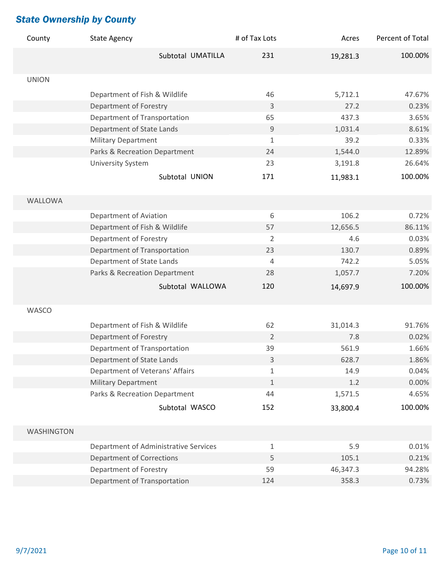| County            | <b>State Agency</b>                   | # of Tax Lots  | Acres    | Percent of Total |
|-------------------|---------------------------------------|----------------|----------|------------------|
|                   | Subtotal UMATILLA                     | 231            | 19,281.3 | 100.00%          |
| <b>UNION</b>      |                                       |                |          |                  |
|                   | Department of Fish & Wildlife         | 46             | 5,712.1  | 47.67%           |
|                   | Department of Forestry                | 3              | 27.2     | 0.23%            |
|                   | Department of Transportation          | 65             | 437.3    | 3.65%            |
|                   | Department of State Lands             | 9              | 1,031.4  | 8.61%            |
|                   | <b>Military Department</b>            | $\mathbf{1}$   | 39.2     | 0.33%            |
|                   | Parks & Recreation Department         | 24             | 1,544.0  | 12.89%           |
|                   | <b>University System</b>              | 23             | 3,191.8  | 26.64%           |
|                   | Subtotal UNION                        | 171            | 11,983.1 | 100.00%          |
|                   |                                       |                |          |                  |
| WALLOWA           |                                       |                |          |                  |
|                   | Department of Aviation                | 6              | 106.2    | 0.72%            |
|                   | Department of Fish & Wildlife         | 57             | 12,656.5 | 86.11%           |
|                   | Department of Forestry                | $\overline{2}$ | 4.6      | 0.03%            |
|                   | Department of Transportation          | 23             | 130.7    | 0.89%            |
|                   | Department of State Lands             | 4              | 742.2    | 5.05%            |
|                   | Parks & Recreation Department         | 28             | 1,057.7  | 7.20%            |
|                   | Subtotal WALLOWA                      | 120            | 14,697.9 | 100.00%          |
|                   |                                       |                |          |                  |
| <b>WASCO</b>      |                                       |                |          |                  |
|                   | Department of Fish & Wildlife         | 62             | 31,014.3 | 91.76%           |
|                   | Department of Forestry                | $\overline{2}$ | 7.8      | 0.02%            |
|                   | Department of Transportation          | 39             | 561.9    | 1.66%            |
|                   | Department of State Lands             | 3              | 628.7    | 1.86%            |
|                   | Department of Veterans' Affairs       | $\mathbf{1}$   | 14.9     | 0.04%            |
|                   | <b>Military Department</b>            | $\mathbf{1}$   | 1.2      | 0.00%            |
|                   | Parks & Recreation Department         | 44             | 1,571.5  | 4.65%            |
|                   | Subtotal WASCO                        | 152            | 33,800.4 | 100.00%          |
|                   |                                       |                |          |                  |
| <b>WASHINGTON</b> |                                       |                |          |                  |
|                   | Department of Administrative Services | $\mathbf{1}$   | 5.9      | 0.01%            |
|                   | <b>Department of Corrections</b>      | 5              | 105.1    | 0.21%            |
|                   | Department of Forestry                | 59             | 46,347.3 | 94.28%           |
|                   | <b>Department of Transportation</b>   | 124            | 358.3    | 0.73%            |